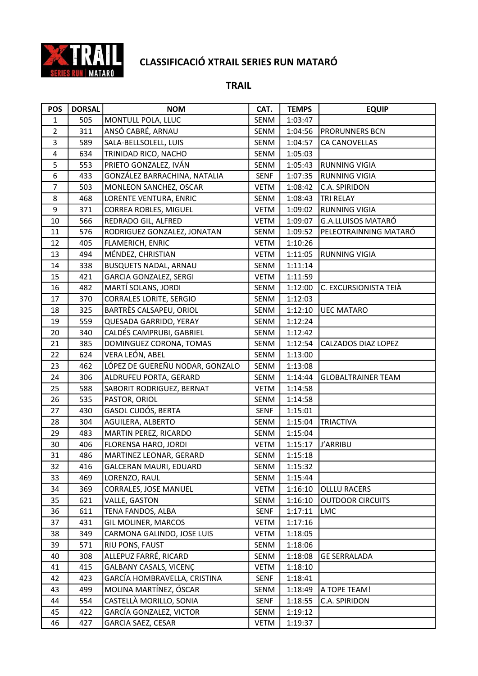

| <b>POS</b>     | <b>DORSAL</b> | <b>NOM</b>                      | CAT.        | <b>TEMPS</b> | <b>EQUIP</b>              |
|----------------|---------------|---------------------------------|-------------|--------------|---------------------------|
| $\mathbf{1}$   | 505           | MONTULL POLA, LLUC              | SENM        | 1:03:47      |                           |
| $\overline{2}$ | 311           | ANSÓ CABRÉ, ARNAU               | SENM        | 1:04:56      | PRORUNNERS BCN            |
| 3              | 589           | SALA-BELLSOLELL, LUIS           | SENM        | 1:04:57      | CA CANOVELLAS             |
| $\overline{4}$ | 634           | TRINIDAD RICO, NACHO            | <b>SENM</b> | 1:05:03      |                           |
| 5              | 553           | PRIETO GONZALEZ, IVÁN           | SENM        | 1:05:43      | <b>RUNNING VIGIA</b>      |
| 6              | 433           | GONZÁLEZ BARRACHINA, NATALIA    | <b>SENF</b> | 1:07:35      | <b>RUNNING VIGIA</b>      |
| $\overline{7}$ | 503           | MONLEON SANCHEZ, OSCAR          | <b>VETM</b> | 1:08:42      | C.A. SPIRIDON             |
| 8              | 468           | LORENTE VENTURA, ENRIC          | SENM        | 1:08:43      | <b>TRI RELAY</b>          |
| 9              | 371           | CORREA ROBLES, MIGUEL           | <b>VETM</b> | 1:09:02      | <b>RUNNING VIGIA</b>      |
| 10             | 566           | REDRADO GIL, ALFRED             | <b>VETM</b> | 1:09:07      | G.A.LLUISOS MATARÓ        |
| 11             | 576           | RODRIGUEZ GONZALEZ, JONATAN     | SENM        | 1:09:52      | PELEOTRAINNING MATARÓ     |
| 12             | 405           | FLAMERICH, ENRIC                | <b>VETM</b> | 1:10:26      |                           |
| 13             | 494           | MÉNDEZ, CHRISTIAN               | <b>VETM</b> | 1:11:05      | <b>RUNNING VIGIA</b>      |
| 14             | 338           | <b>BUSQUETS NADAL, ARNAU</b>    | SENM        | 1:11:14      |                           |
| 15             | 421           | GARCIA GONZALEZ, SERGI          | <b>VETM</b> | 1:11:59      |                           |
| 16             | 482           | MARTÍ SOLANS, JORDI             | SENM        | 1:12:00      | C. EXCURSIONISTA TEIÀ     |
| 17             | 370           | <b>CORRALES LORITE, SERGIO</b>  | SENM        | 1:12:03      |                           |
| 18             | 325           | BARTRÈS CALSAPEU, ORIOL         | SENM        | 1:12:10      | <b>UEC MATARO</b>         |
| 19             | 559           | QUESADA GARRIDO, YERAY          | SENM        | 1:12:24      |                           |
| 20             | 340           | CALDÉS CAMPRUBI, GABRIEL        | SENM        | 1:12:42      |                           |
| 21             | 385           | DOMINGUEZ CORONA, TOMAS         | SENM        | 1:12:54      | CALZADOS DIAZ LOPEZ       |
| 22             | 624           | VERA LEÓN, ABEL                 | SENM        | 1:13:00      |                           |
| 23             | 462           | LÓPEZ DE GUEREÑU NODAR, GONZALO | SENM        | 1:13:08      |                           |
| 24             | 306           | ALDRUFEU PORTA, GERARD          | SENM        | 1:14:44      | <b>GLOBALTRAINER TEAM</b> |
| 25             | 588           | SABORIT RODRIGUEZ, BERNAT       | <b>VETM</b> | 1:14:58      |                           |
| 26             | 535           | PASTOR, ORIOL                   | SENM        | 1:14:58      |                           |
| 27             | 430           | GASOL CUDÓS, BERTA              | <b>SENF</b> | 1:15:01      |                           |
| 28             | 304           | AGUILERA, ALBERTO               | SENM        | 1:15:04      | <b>TRIACTIVA</b>          |
| 29             | 483           | MARTIN PEREZ, RICARDO           | SENM        | 1:15:04      |                           |
| 30             | 406           | FLORENSA HARO, JORDI            | <b>VETM</b> | 1:15:17      | J'ARRIBU                  |
| 31             | 486           | MARTINEZ LEONAR, GERARD         | SENM        | 1:15:18      |                           |
| 32             | 416           | <b>GALCERAN MAURI, EDUARD</b>   | SENM        | 1:15:32      |                           |
| 33             | 469           | LORENZO, RAUL                   | SENM        | 1:15:44      |                           |
| 34             | 369           | <b>CORRALES, JOSE MANUEL</b>    | <b>VETM</b> | 1:16:10      | OLLLU RACERS              |
| 35             | 621           | VALLE, GASTON                   | SENM        | 1:16:10      | <b>OUTDOOR CIRCUITS</b>   |
| 36             | 611           | TENA FANDOS, ALBA               | <b>SENF</b> | 1:17:11      | LMC                       |
| 37             | 431           | GIL MOLINER, MARCOS             | <b>VETM</b> | 1:17:16      |                           |
| 38             | 349           | CARMONA GALINDO, JOSE LUIS      | <b>VETM</b> | 1:18:05      |                           |
| 39             | 571           | RIU PONS, FAUST                 | SENM        | 1:18:06      |                           |
| 40             | 308           | ALLEPUZ FARRÉ, RICARD           | SENM        | 1:18:08      | <b>GE SERRALADA</b>       |
| 41             | 415           | <b>GALBANY CASALS, VICENÇ</b>   | <b>VETM</b> | 1:18:10      |                           |
| 42             | 423           | GARCÍA HOMBRAVELLA, CRISTINA    | SENF        | 1:18:41      |                           |
| 43             | 499           | MOLINA MARTÍNEZ, ÓSCAR          | SENM        | 1:18:49      | A TOPE TEAM!              |
| 44             | 554           | CASTELLÀ MORILLO, SONIA         | SENF        | 1:18:55      | C.A. SPIRIDON             |
| 45             | 422           | GARCÍA GONZALEZ, VICTOR         | SENM        | 1:19:12      |                           |
| 46             | 427           | GARCIA SAEZ, CESAR              | VETM        | 1:19:37      |                           |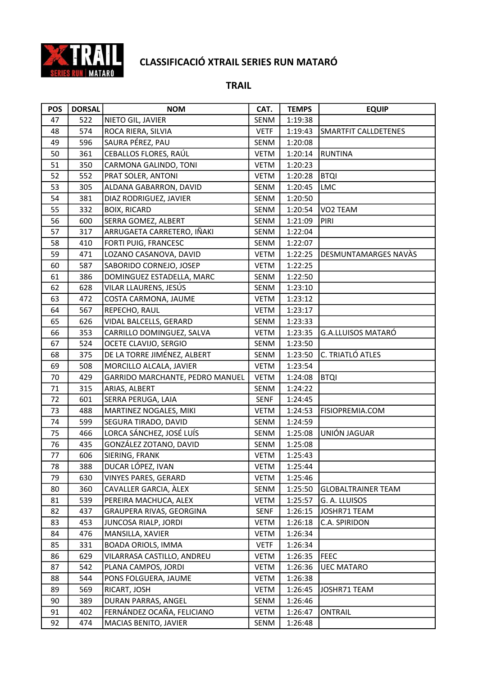

| <b>POS</b> | <b>DORSAL</b> | <b>NOM</b>                      | CAT.        | <b>TEMPS</b> | <b>EQUIP</b>                |
|------------|---------------|---------------------------------|-------------|--------------|-----------------------------|
| 47         | 522           | NIETO GIL, JAVIER               | SENM        | 1:19:38      |                             |
| 48         | 574           | ROCA RIERA, SILVIA              | <b>VETF</b> | 1:19:43      | <b>SMARTFIT CALLDETENES</b> |
| 49         | 596           | SAURA PÉREZ, PAU                | SENM        | 1:20:08      |                             |
| 50         | 361           | CEBALLOS FLORES, RAÚL           | <b>VETM</b> | 1:20:14      | <b>RUNTINA</b>              |
| 51         | 350           | CARMONA GALINDO, TONI           | VETM        | 1:20:23      |                             |
| 52         | 552           | PRAT SOLER, ANTONI              | <b>VETM</b> | 1:20:28      | <b>BTQI</b>                 |
| 53         | 305           | ALDANA GABARRON, DAVID          | SENM        | 1:20:45      | <b>LMC</b>                  |
| 54         | 381           | DIAZ RODRIGUEZ, JAVIER          | SENM        | 1:20:50      |                             |
| 55         | 332           | <b>BOIX, RICARD</b>             | SENM        | 1:20:54      | VO2 TEAM                    |
| 56         | 600           | SERRA GOMEZ, ALBERT             | SENM        | 1:21:09      | PIRI                        |
| 57         | 317           | ARRUGAETA CARRETERO, IÑAKI      | SENM        | 1:22:04      |                             |
| 58         | 410           | FORTI PUIG, FRANCESC            | SENM        | 1:22:07      |                             |
| 59         | 471           | LOZANO CASANOVA, DAVID          | <b>VETM</b> | 1:22:25      | DESMUNTAMARGES NAVÀS        |
| 60         | 587           | SABORIDO CORNEJO, JOSEP         | VETM        | 1:22:25      |                             |
| 61         | 386           | DOMINGUEZ ESTADELLA, MARC       | SENM        | 1:22:50      |                             |
| 62         | 628           | VILAR LLAURENS, JESÚS           | SENM        | 1:23:10      |                             |
| 63         | 472           | COSTA CARMONA, JAUME            | <b>VETM</b> | 1:23:12      |                             |
| 64         | 567           | REPECHO, RAUL                   | <b>VETM</b> | 1:23:17      |                             |
| 65         | 626           | VIDAL BALCELLS, GERARD          | SENM        | 1:23:33      |                             |
| 66         | 353           | CARRILLO DOMINGUEZ, SALVA       | <b>VETM</b> | 1:23:35      | <b>G.A.LLUISOS MATARÓ</b>   |
| 67         | 524           | OCETE CLAVIJO, SERGIO           | SENM        | 1:23:50      |                             |
| 68         | 375           | DE LA TORRE JIMÉNEZ, ALBERT     | SENM        | 1:23:50      | C. TRIATLÓ ATLES            |
| 69         | 508           | MORCILLO ALCALA, JAVIER         | <b>VETM</b> | 1:23:54      |                             |
| 70         | 429           | GARRIDO MARCHANTE, PEDRO MANUEL | <b>VETM</b> | 1:24:08      | <b>BTQI</b>                 |
| 71         | 315           | ARIAS, ALBERT                   | SENM        | 1:24:22      |                             |
| 72         | 601           | SERRA PERUGA, LAIA              | <b>SENF</b> | 1:24:45      |                             |
| 73         | 488           | MARTINEZ NOGALES, MIKI          | <b>VETM</b> | 1:24:53      | FISIOPREMIA.COM             |
| 74         | 599           | SEGURA TIRADO, DAVID            | SENM        | 1:24:59      |                             |
| 75         | 466           | LORCA SÁNCHEZ, JOSÉ LUÍS        | SENM        | 1:25:08      | UNIÓN JAGUAR                |
| 76         | 435           | GONZÁLEZ ZOTANO, DAVID          | SENM        | 1:25:08      |                             |
| 77         | 606           | SIERING, FRANK                  | <b>VETM</b> | 1:25:43      |                             |
| 78         | 388           | DUCAR LÓPEZ, IVAN               | VETM        | 1:25:44      |                             |
| 79         | 630           | VINYES PARES, GERARD            | <b>VETM</b> | 1:25:46      |                             |
| 80         | 360           | CAVALLER GARCIA, ALEX           | SENM        | 1:25:50      | <b>GLOBALTRAINER TEAM</b>   |
| 81         | 539           | PEREIRA MACHUCA, ALEX           | <b>VETM</b> | 1:25:57      | G. A. LLUISOS               |
| 82         | 437           | GRAUPERA RIVAS, GEORGINA        | SENF        | 1:26:15      | JOSHR71 TEAM                |
| 83         | 453           | JUNCOSA RIALP, JORDI            | <b>VETM</b> | 1:26:18      | C.A. SPIRIDON               |
| 84         | 476           | MANSILLA, XAVIER                | <b>VETM</b> | 1:26:34      |                             |
| 85         | 331           | <b>BOADA ORIOLS, IMMA</b>       | <b>VETF</b> | 1:26:34      |                             |
| 86         | 629           | VILARRASA CASTILLO, ANDREU      | VETM        | 1:26:35      | <b>FEEC</b>                 |
| 87         | 542           | PLANA CAMPOS, JORDI             | VETM        | 1:26:36      | <b>UEC MATARO</b>           |
| 88         | 544           | PONS FOLGUERA, JAUME            | <b>VETM</b> | 1:26:38      |                             |
| 89         | 569           | RICART, JOSH                    | <b>VETM</b> | 1:26:45      | JOSHR71 TEAM                |
| 90         | 389           | DURAN PARRAS, ANGEL             | SENM        | 1:26:46      |                             |
| 91         | 402           | FERNÁNDEZ OCAÑA, FELICIANO      | <b>VETM</b> | 1:26:47      | <b>ONTRAIL</b>              |
| 92         | 474           | MACIAS BENITO, JAVIER           | SENM        | 1:26:48      |                             |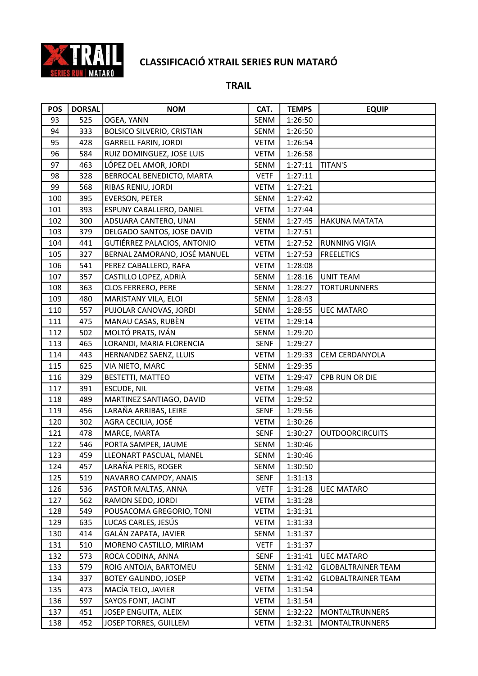

| <b>POS</b> | <b>DORSAL</b> | <b>NOM</b>                        | CAT.        | <b>TEMPS</b> | <b>EQUIP</b>              |
|------------|---------------|-----------------------------------|-------------|--------------|---------------------------|
| 93         | 525           | OGEA, YANN                        | SENM        | 1:26:50      |                           |
| 94         | 333           | <b>BOLSICO SILVERIO, CRISTIAN</b> | SENM        | 1:26:50      |                           |
| 95         | 428           | <b>GARRELL FARIN, JORDI</b>       | <b>VETM</b> | 1:26:54      |                           |
| 96         | 584           | RUIZ DOMINGUEZ, JOSE LUIS         | <b>VETM</b> | 1:26:58      |                           |
| 97         | 463           | LÓPEZ DEL AMOR, JORDI             | SENM        | 1:27:11      | <b>TITAN'S</b>            |
| 98         | 328           | BERROCAL BENEDICTO, MARTA         | <b>VETF</b> | 1:27:11      |                           |
| 99         | 568           | RIBAS RENIU, JORDI                | <b>VETM</b> | 1:27:21      |                           |
| 100        | 395           | <b>EVERSON, PETER</b>             | SENM        | 1:27:42      |                           |
| 101        | 393           | ESPUNY CABALLERO, DANIEL          | <b>VETM</b> | 1:27:44      |                           |
| 102        | 300           | ADSUARA CANTERO, UNAI             | SENM        | 1:27:45      | <b>HAKUNA MATATA</b>      |
| 103        | 379           | DELGADO SANTOS, JOSE DAVID        | <b>VETM</b> | 1:27:51      |                           |
| 104        | 441           | GUTIÉRREZ PALACIOS, ANTONIO       | <b>VETM</b> | 1:27:52      | <b>RUNNING VIGIA</b>      |
| 105        | 327           | BERNAL ZAMORANO, JOSÉ MANUEL      | <b>VETM</b> | 1:27:53      | <b>FREELETICS</b>         |
| 106        | 541           | PEREZ CABALLERO, RAFA             | <b>VETM</b> | 1:28:08      |                           |
| 107        | 357           | CASTILLO LOPEZ, ADRIÀ             | SENM        | 1:28:16      | <b>UNIT TEAM</b>          |
| 108        | 363           | <b>CLOS FERRERO, PERE</b>         | SENM        | 1:28:27      | <b>TORTURUNNERS</b>       |
| 109        | 480           | MARISTANY VILA, ELOI              | SENM        | 1:28:43      |                           |
| 110        | 557           | PUJOLAR CANOVAS, JORDI            | SENM        | 1:28:55      | <b>UEC MATARO</b>         |
| 111        | 475           | MANAU CASAS, RUBÈN                | <b>VETM</b> | 1:29:14      |                           |
| 112        | 502           | MOLTÓ PRATS, IVÁN                 | SENM        | 1:29:20      |                           |
| 113        | 465           | LORANDI, MARIA FLORENCIA          | <b>SENF</b> | 1:29:27      |                           |
| 114        | 443           | HERNANDEZ SAENZ, LLUIS            | <b>VETM</b> | 1:29:33      | CEM CERDANYOLA            |
| 115        | 625           | VIA NIETO, MARC                   | SENM        | 1:29:35      |                           |
| 116        | 329           | BESTETTI, MATTEO                  | <b>VETM</b> | 1:29:47      | CPB RUN OR DIE            |
| 117        | 391           | <b>ESCUDE, NIL</b>                | <b>VETM</b> | 1:29:48      |                           |
| 118        | 489           | MARTINEZ SANTIAGO, DAVID          | <b>VETM</b> | 1:29:52      |                           |
| 119        | 456           | LARAÑA ARRIBAS, LEIRE             | <b>SENF</b> | 1:29:56      |                           |
| 120        | 302           | AGRA CECILIA, JOSÉ                | <b>VETM</b> | 1:30:26      |                           |
| 121        | 478           | MARCE, MARTA                      | <b>SENF</b> | 1:30:27      | <b>OUTDOORCIRCUITS</b>    |
| 122        | 546           | PORTA SAMPER, JAUME               | SENM        | 1:30:46      |                           |
| 123        | 459           | LLEONART PASCUAL, MANEL           | SENM        | 1:30:46      |                           |
| 124        | 457           | LARAÑA PERIS, ROGER               | SENM        | 1:30:50      |                           |
| 125        | 519           | NAVARRO CAMPOY, ANAIS             | SENF        | 1:31:13      |                           |
| 126        | 536           | PASTOR MALTAS, ANNA               | <b>VETF</b> | 1:31:28      | UEC MATARO                |
| 127        | 562           | RAMON SEDO, JORDI                 | <b>VETM</b> | 1:31:28      |                           |
| 128        | 549           | POUSACOMA GREGORIO, TONI          | <b>VETM</b> | 1:31:31      |                           |
| 129        | 635           | LUCAS CARLES, JESÚS               | <b>VETM</b> | 1:31:33      |                           |
| 130        | 414           | GALÁN ZAPATA, JAVIER              | SENM        | 1:31:37      |                           |
| 131        | 510           | MORENO CASTILLO, MIRIAM           | <b>VETF</b> | 1:31:37      |                           |
| 132        | 573           | ROCA CODINA, ANNA                 | <b>SENF</b> | 1:31:41      | <b>UEC MATARO</b>         |
| 133        | 579           | ROIG ANTOJA, BARTOMEU             | SENM        | 1:31:42      | <b>GLOBALTRAINER TEAM</b> |
| 134        | 337           | <b>BOTEY GALINDO, JOSEP</b>       | VETM        | 1:31:42      | <b>GLOBALTRAINER TEAM</b> |
| 135        | 473           | MACÍA TELO, JAVIER                | <b>VETM</b> | 1:31:54      |                           |
| 136        | 597           | SAYOS FONT, JACINT                | <b>VETM</b> | 1:31:54      |                           |
| 137        | 451           | JOSEP ENGUITA, ALEIX              | SENM        | 1:32:22      | MONTALTRUNNERS            |
| 138        | 452           | JOSEP TORRES, GUILLEM             | VETM        | 1:32:31      | MONTALTRUNNERS            |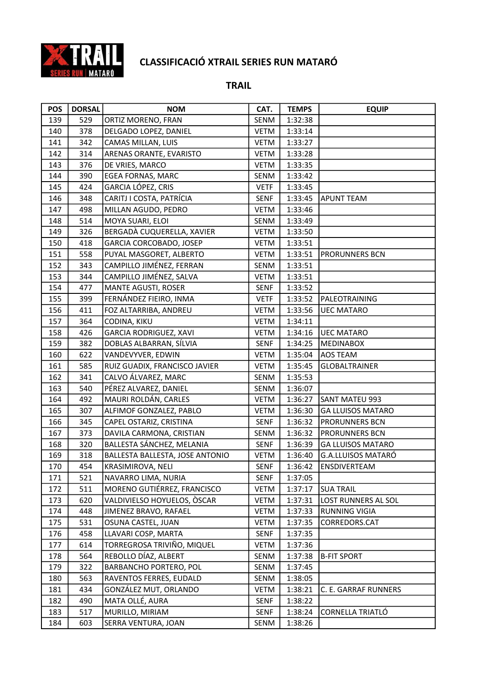

| <b>POS</b> | <b>DORSAL</b> | <b>NOM</b>                      | CAT.        | <b>TEMPS</b> | <b>EQUIP</b>              |
|------------|---------------|---------------------------------|-------------|--------------|---------------------------|
| 139        | 529           | ORTIZ MORENO, FRAN              | SENM        | 1:32:38      |                           |
| 140        | 378           | DELGADO LOPEZ, DANIEL           | VETM        | 1:33:14      |                           |
| 141        | 342           | CAMAS MILLAN, LUIS              | <b>VETM</b> | 1:33:27      |                           |
| 142        | 314           | ARENAS ORANTE, EVARISTO         | <b>VETM</b> | 1:33:28      |                           |
| 143        | 376           | DE VRIES, MARCO                 | <b>VETM</b> | 1:33:35      |                           |
| 144        | 390           | EGEA FORNAS, MARC               | SENM        | 1:33:42      |                           |
| 145        | 424           | GARCIA LÓPEZ, CRIS              | <b>VETF</b> | 1:33:45      |                           |
| 146        | 348           | CARITJ I COSTA, PATRÍCIA        | <b>SENF</b> | 1:33:45      | <b>APUNT TEAM</b>         |
| 147        | 498           | MILLAN AGUDO, PEDRO             | <b>VETM</b> | 1:33:46      |                           |
| 148        | 514           | MOYA SUARI, ELOI                | SENM        | 1:33:49      |                           |
| 149        | 326           | BERGADÀ CUQUERELLA, XAVIER      | VETM        | 1:33:50      |                           |
| 150        | 418           | GARCIA CORCOBADO, JOSEP         | VETM        | 1:33:51      |                           |
| 151        | 558           | PUYAL MASGORET, ALBERTO         | VETM        | 1:33:51      | <b>PRORUNNERS BCN</b>     |
| 152        | 343           | CAMPILLO JIMÉNEZ, FERRAN        | SENM        | 1:33:51      |                           |
| 153        | 344           | CAMPILLO JIMÉNEZ, SALVA         | <b>VETM</b> | 1:33:51      |                           |
| 154        | 477           | MANTE AGUSTI, ROSER             | <b>SENF</b> | 1:33:52      |                           |
| 155        | 399           | FERNÁNDEZ FIEIRO, INMA          | <b>VETF</b> | 1:33:52      | PALEOTRAINING             |
| 156        | 411           | FOZ ALTARRIBA, ANDREU           | VETM        | 1:33:56      | <b>UEC MATARO</b>         |
| 157        | 364           | CODINA, KIKU                    | <b>VETM</b> | 1:34:11      |                           |
| 158        | 426           | <b>GARCIA RODRIGUEZ, XAVI</b>   | <b>VETM</b> | 1:34:16      | <b>UEC MATARO</b>         |
| 159        | 382           | DOBLAS ALBARRAN, SÍLVIA         | SENF        | 1:34:25      | MEDINABOX                 |
| 160        | 622           | VANDEVYVER, EDWIN               | VETM        | 1:35:04      | <b>AOS TEAM</b>           |
| 161        | 585           | RUIZ GUADIX, FRANCISCO JAVIER   | <b>VETM</b> | 1:35:45      | <b>GLOBALTRAINER</b>      |
| 162        | 341           | CALVO ÁLVAREZ, MARC             | SENM        | 1:35:53      |                           |
| 163        | 540           | PÉREZ ALVAREZ, DANIEL           | SENM        | 1:36:07      |                           |
| 164        | 492           | MAURI ROLDÁN, CARLES            | <b>VETM</b> | 1:36:27      | SANT MATEU 993            |
| 165        | 307           | ALFIMOF GONZALEZ, PABLO         | VETM        | 1:36:30      | <b>GA LLUISOS MATARO</b>  |
| 166        | 345           | CAPEL OSTARIZ, CRISTINA         | <b>SENF</b> | 1:36:32      | <b>PRORUNNERS BCN</b>     |
| 167        | 373           | DAVILA CARMONA, CRISTIAN        | SENM        | 1:36:32      | <b>PRORUNNERS BCN</b>     |
| 168        | 320           | BALLESTA SÁNCHEZ, MELANIA       | SENF        | 1:36:39      | <b>GA LLUISOS MATARO</b>  |
| 169        | 318           | BALLESTA BALLESTA, JOSE ANTONIO | <b>VETM</b> | 1:36:40      | <b>G.A.LLUISOS MATARÓ</b> |
| 170        | 454           | KRASIMIROVA, NELI               | <b>SENF</b> | 1:36:42      | ENSDIVERTEAM              |
| 171        | 521           | NAVARRO LIMA, NURIA             | <b>SENF</b> | 1:37:05      |                           |
| 172        | 511           | MORENO GUTIÉRREZ, FRANCISCO     | <b>VETM</b> | 1:37:17      | <b>SUA TRAIL</b>          |
| 173        | 620           | VALDIVIELSO HOYUELOS, ÒSCAR     | <b>VETM</b> | 1:37:31      | LOST RUNNERS AL SOL       |
| 174        | 448           | JIMENEZ BRAVO, RAFAEL           | VETM        | 1:37:33      | <b>RUNNING VIGIA</b>      |
| 175        | 531           | OSUNA CASTEL, JUAN              | VETM        | 1:37:35      | CORREDORS.CAT             |
| 176        | 458           | LLAVARI COSP, MARTA             | <b>SENF</b> | 1:37:35      |                           |
| 177        | 614           | TORREGROSA TRIVIÑO, MIQUEL      | <b>VETM</b> | 1:37:36      |                           |
| 178        | 564           | REBOLLO DÍAZ, ALBERT            | SENM        | 1:37:38      | <b>B-FIT SPORT</b>        |
| 179        | 322           | BARBANCHO PORTERO, POL          | SENM        | 1:37:45      |                           |
| 180        | 563           | RAVENTOS FERRES, EUDALD         | SENM        | 1:38:05      |                           |
| 181        | 434           | GONZÁLEZ MUT, ORLANDO           | <b>VETM</b> | 1:38:21      | C. E. GARRAF RUNNERS      |
| 182        | 490           | MATA OLLÉ, AURA                 | <b>SENF</b> | 1:38:22      |                           |
| 183        | 517           | MURILLO, MIRIAM                 | <b>SENF</b> | 1:38:24      | CORNELLA TRIATLÓ          |
| 184        | 603           | SERRA VENTURA, JOAN             | SENM        | 1:38:26      |                           |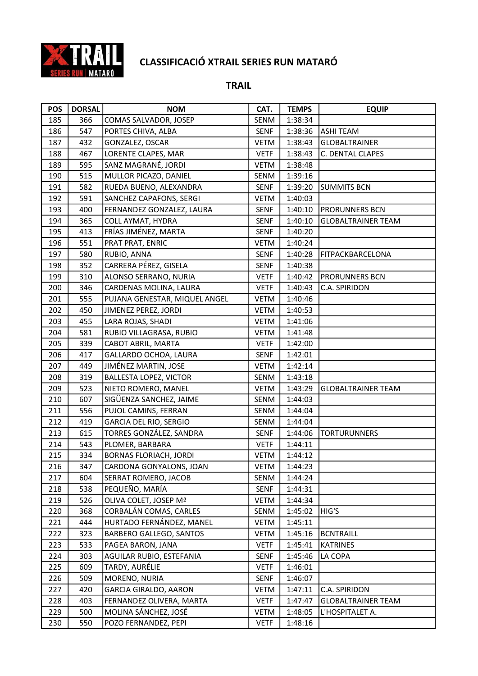

| <b>POS</b> | <b>DORSAL</b> | <b>NOM</b>                     | CAT.        | <b>TEMPS</b> | <b>EQUIP</b>              |
|------------|---------------|--------------------------------|-------------|--------------|---------------------------|
| 185        | 366           | COMAS SALVADOR, JOSEP          | SENM        | 1:38:34      |                           |
| 186        | 547           | PORTES CHIVA, ALBA             | <b>SENF</b> | 1:38:36      | <b>ASHI TEAM</b>          |
| 187        | 432           | GONZALEZ, OSCAR                | VETM        | 1:38:43      | <b>GLOBALTRAINER</b>      |
| 188        | 467           | LORENTE CLAPES, MAR            | <b>VETF</b> | 1:38:43      | C. DENTAL CLAPES          |
| 189        | 595           | SANZ MAGRANÉ, JORDI            | VETM        | 1:38:48      |                           |
| 190        | 515           | MULLOR PICAZO, DANIEL          | SENM        | 1:39:16      |                           |
| 191        | 582           | RUEDA BUENO, ALEXANDRA         | SENF        | 1:39:20      | <b>SUMMITS BCN</b>        |
| 192        | 591           | SANCHEZ CAPAFONS, SERGI        | VETM        | 1:40:03      |                           |
| 193        | 400           | FERNANDEZ GONZALEZ, LAURA      | <b>SENF</b> | 1:40:10      | PRORUNNERS BCN            |
| 194        | 365           | COLL AYMAT, HYDRA              | <b>SENF</b> | 1:40:10      | <b>GLOBALTRAINER TEAM</b> |
| 195        | 413           | FRÍAS JIMÉNEZ, MARTA           | <b>SENF</b> | 1:40:20      |                           |
| 196        | 551           | PRAT PRAT, ENRIC               | VETM        | 1:40:24      |                           |
| 197        | 580           | RUBIO, ANNA                    | <b>SENF</b> | 1:40:28      | FITPACKBARCELONA          |
| 198        | 352           | CARRERA PÉREZ, GISELA          | <b>SENF</b> | 1:40:38      |                           |
| 199        | 310           | ALONSO SERRANO, NURIA          | <b>VETF</b> | 1:40:42      | PRORUNNERS BCN            |
| 200        | 346           | CARDENAS MOLINA, LAURA         | <b>VETF</b> | 1:40:43      | C.A. SPIRIDON             |
| 201        | 555           | PUJANA GENESTAR, MIQUEL ANGEL  | VETM        | 1:40:46      |                           |
| 202        | 450           | JIMENEZ PEREZ, JORDI           | <b>VETM</b> | 1:40:53      |                           |
| 203        | 455           | LARA ROJAS, SHADI              | VETM        | 1:41:06      |                           |
| 204        | 581           | RUBIO VILLAGRASA, RUBIO        | <b>VETM</b> | 1:41:48      |                           |
| 205        | 339           | CABOT ABRIL, MARTA             | <b>VETF</b> | 1:42:00      |                           |
| 206        | 417           | GALLARDO OCHOA, LAURA          | <b>SENF</b> | 1:42:01      |                           |
| 207        | 449           | JIMÉNEZ MARTIN, JOSE           | <b>VETM</b> | 1:42:14      |                           |
| 208        | 319           | <b>BALLESTA LOPEZ, VICTOR</b>  | SENM        | 1:43:18      |                           |
| 209        | 523           | NIETO ROMERO, MANEL            | <b>VETM</b> | 1:43:29      | <b>GLOBALTRAINER TEAM</b> |
| 210        | 607           | SIGÜENZA SANCHEZ, JAIME        | SENM        | 1:44:03      |                           |
| 211        | 556           | PUJOL CAMINS, FERRAN           | SENM        | 1:44:04      |                           |
| 212        | 419           | GARCIA DEL RIO, SERGIO         | SENM        | 1:44:04      |                           |
| 213        | 615           | TORRES GONZÁLEZ, SANDRA        | <b>SENF</b> | 1:44:06      | <b>TORTURUNNERS</b>       |
| 214        | 543           | PLOMER, BARBARA                | <b>VETF</b> | 1:44:11      |                           |
| 215        | 334           | <b>BORNAS FLORIACH, JORDI</b>  | <b>VETM</b> | 1:44:12      |                           |
| 216        | 347           | CARDONA GONYALONS, JOAN        | VETM        | 1:44:23      |                           |
| 217        | 604           | SERRAT ROMERO, JACOB           | SENM        | 1:44:24      |                           |
| 218        | 538           | PEQUEÑO, MARÍA                 | <b>SENF</b> | 1:44:31      |                           |
| 219        | 526           | OLIVA COLET, JOSEP Mª          | <b>VETM</b> | 1:44:34      |                           |
| 220        | 368           | CORBALÁN COMAS, CARLES         | SENM        | 1:45:02      | HIG'S                     |
| 221        | 444           | HURTADO FERNÁNDEZ, MANEL       | <b>VETM</b> | 1:45:11      |                           |
| 222        | 323           | <b>BARBERO GALLEGO, SANTOS</b> | <b>VETM</b> | 1:45:16      | <b>BCNTRAILL</b>          |
| 223        | 533           | PAGEA BARON, JANA              | <b>VETF</b> | 1:45:41      | <b>KATRINES</b>           |
| 224        | 303           | AGUILAR RUBIO, ESTEFANIA       | <b>SENF</b> | 1:45:46      | LA COPA                   |
| 225        | 609           | TARDY, AURÉLIE                 | <b>VETF</b> | 1:46:01      |                           |
| 226        | 509           | MORENO, NURIA                  | <b>SENF</b> | 1:46:07      |                           |
| 227        | 420           | GARCIA GIRALDO, AARON          | VETM        | 1:47:11      | C.A. SPIRIDON             |
| 228        | 403           | FERNANDEZ OLIVERA, MARTA       | <b>VETF</b> | 1:47:47      | <b>GLOBALTRAINER TEAM</b> |
| 229        | 500           | MOLINA SÁNCHEZ, JOSÉ           | <b>VETM</b> | 1:48:05      | L'HOSPITALET A.           |
| 230        | 550           | POZO FERNANDEZ, PEPI           | <b>VETF</b> | 1:48:16      |                           |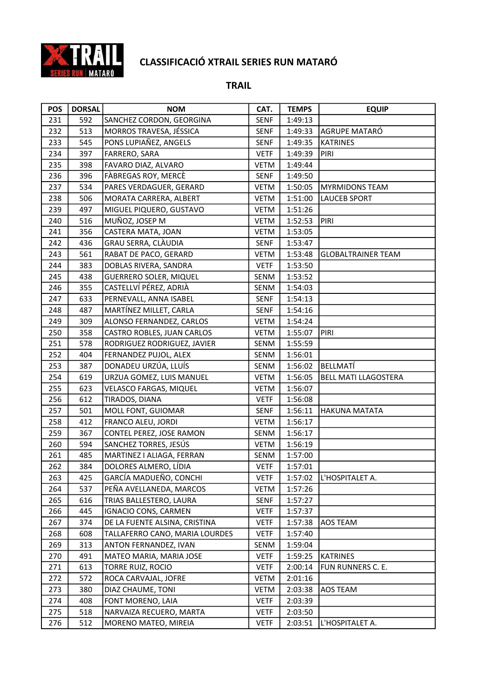

| <b>POS</b> | <b>DORSAL</b> | <b>NOM</b>                     | CAT.        | <b>TEMPS</b> | <b>EQUIP</b>                |
|------------|---------------|--------------------------------|-------------|--------------|-----------------------------|
| 231        | 592           | SANCHEZ CORDON, GEORGINA       | <b>SENF</b> | 1:49:13      |                             |
| 232        | 513           | MORROS TRAVESA, JÉSSICA        | <b>SENF</b> | 1:49:33      | AGRUPE MATARÓ               |
| 233        | 545           | PONS LUPIAÑEZ, ANGELS          | <b>SENF</b> | 1:49:35      | KATRINES                    |
| 234        | 397           | FARRERO, SARA                  | <b>VETF</b> | 1:49:39      | <b>PIRI</b>                 |
| 235        | 398           | FAVARO DIAZ, ALVARO            | <b>VETM</b> | 1:49:44      |                             |
| 236        | 396           | FÀBREGAS ROY, MERCÈ            | <b>SENF</b> | 1:49:50      |                             |
| 237        | 534           | PARES VERDAGUER, GERARD        | <b>VETM</b> | 1:50:05      | <b>MYRMIDONS TEAM</b>       |
| 238        | 506           | MORATA CARRERA, ALBERT         | <b>VETM</b> | 1:51:00      | <b>LAUCEB SPORT</b>         |
| 239        | 497           | MIGUEL PIQUERO, GUSTAVO        | <b>VETM</b> | 1:51:26      |                             |
| 240        | 516           | MUÑOZ, JOSEP M                 | <b>VETM</b> | 1:52:53      | PIRI                        |
| 241        | 356           | CASTERA MATA, JOAN             | VETM        | 1:53:05      |                             |
| 242        | 436           | GRAU SERRA, CLÀUDIA            | <b>SENF</b> | 1:53:47      |                             |
| 243        | 561           | RABAT DE PACO, GERARD          | <b>VETM</b> | 1:53:48      | <b>GLOBALTRAINER TEAM</b>   |
| 244        | 383           | DOBLAS RIVERA, SANDRA          | <b>VETF</b> | 1:53:50      |                             |
| 245        | 438           | <b>GUERRERO SOLER, MIQUEL</b>  | SENM        | 1:53:52      |                             |
| 246        | 355           | CASTELLVÍ PÉREZ, ADRIÀ         | SENM        | 1:54:03      |                             |
| 247        | 633           | PERNEVALL, ANNA ISABEL         | <b>SENF</b> | 1:54:13      |                             |
| 248        | 487           | MARTÍNEZ MILLET, CARLA         | <b>SENF</b> | 1:54:16      |                             |
| 249        | 309           | ALONSO FERNANDEZ, CARLOS       | <b>VETM</b> | 1:54:24      |                             |
| 250        | 358           | CASTRO ROBLES, JUAN CARLOS     | <b>VETM</b> | 1:55:07      | PIRI                        |
| 251        | 578           | RODRIGUEZ RODRIGUEZ, JAVIER    | SENM        | 1:55:59      |                             |
| 252        | 404           | FERNANDEZ PUJOL, ALEX          | SENM        | 1:56:01      |                             |
| 253        | 387           | DONADEU URZÚA, LLUÍS           | SENM        | 1:56:02      | BELLMATÍ                    |
| 254        | 619           | URZUA GOMEZ, LUIS MANUEL       | <b>VETM</b> | 1:56:05      | <b>BELL MATI LLAGOSTERA</b> |
| 255        | 623           | VELASCO FARGAS, MIQUEL         | VETM        | 1:56:07      |                             |
| 256        | 612           | TIRADOS, DIANA                 | <b>VETF</b> | 1:56:08      |                             |
| 257        | 501           | MOLL FONT, GUIOMAR             | <b>SENF</b> | 1:56:11      | <b>HAKUNA MATATA</b>        |
| 258        | 412           | FRANCO ALEU, JORDI             | <b>VETM</b> | 1:56:17      |                             |
| 259        | 367           | CONTEL PEREZ, JOSE RAMON       | SENM        | 1:56:17      |                             |
| 260        | 594           | SANCHEZ TORRES, JESÚS          | VETM        | 1:56:19      |                             |
| 261        | 485           | MARTINEZ I ALIAGA, FERRAN      | SENM        | 1:57:00      |                             |
| 262        | 384           | DOLORES ALMERO, LÍDIA          | <b>VETF</b> | 1:57:01      |                             |
| 263        | 425           | GARCÍA MADUEÑO, CONCHI         | <b>VETF</b> | 1:57:02      | L'HOSPITALET A.             |
| 264        | 537           | PEÑA AVELLANEDA, MARCOS        | VETM        | 1:57:26      |                             |
| 265        | 616           | TRIAS BALLESTERO, LAURA        | <b>SENF</b> | 1:57:27      |                             |
| 266        | 445           | <b>IGNACIO CONS, CARMEN</b>    | <b>VETF</b> | 1:57:37      |                             |
| 267        | 374           | DE LA FUENTE ALSINA, CRISTINA  | <b>VETF</b> | 1:57:38      | <b>AOS TEAM</b>             |
| 268        | 608           | TALLAFERRO CANO, MARIA LOURDES | <b>VETF</b> | 1:57:40      |                             |
| 269        | 313           | ANTON FERNANDEZ, IVAN          | SENM        | 1:59:04      |                             |
| 270        | 491           | MATEO MARIA, MARIA JOSE        | <b>VETF</b> | 1:59:25      | KATRINES                    |
| 271        | 613           | TORRE RUIZ, ROCIO              | <b>VETF</b> | 2:00:14      | FUN RUNNERS C. E.           |
| 272        | 572           | ROCA CARVAJAL, JOFRE           | VETM        | 2:01:16      |                             |
| 273        | 380           | DIAZ CHAUME, TONI              | <b>VETM</b> | 2:03:38      | <b>AOS TEAM</b>             |
| 274        | 408           | FONT MORENO, LAIA              | <b>VETF</b> | 2:03:39      |                             |
| 275        | 518           | NARVAIZA RECUERO, MARTA        | <b>VETF</b> | 2:03:50      |                             |
| 276        | 512           | MORENO MATEO, MIREIA           | <b>VETF</b> | 2:03:51      | L'HOSPITALET A.             |